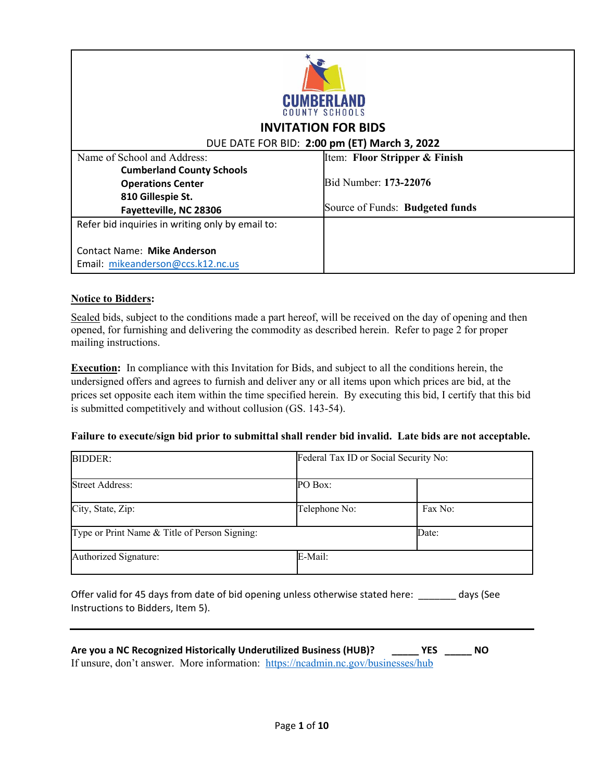| <b>CUMBERLAND</b><br><b>COUNTY SCHOOLS</b>       |                                 |  |
|--------------------------------------------------|---------------------------------|--|
| <b>INVITATION FOR BIDS</b>                       |                                 |  |
| DUE DATE FOR BID: 2:00 pm (ET) March 3, 2022     |                                 |  |
| Name of School and Address:                      | Item: Floor Stripper & Finish   |  |
| <b>Cumberland County Schools</b>                 |                                 |  |
| <b>Operations Center</b>                         | Bid Number: 173-22076           |  |
| 810 Gillespie St.                                |                                 |  |
| Fayetteville, NC 28306                           | Source of Funds: Budgeted funds |  |
| Refer bid inquiries in writing only by email to: |                                 |  |
|                                                  |                                 |  |
| <b>Contact Name: Mike Anderson</b>               |                                 |  |
| Email: mikeanderson@ccs.k12.nc.us                |                                 |  |

### **Notice to Bidders:**

Sealed bids, subject to the conditions made a part hereof, will be received on the day of opening and then opened, for furnishing and delivering the commodity as described herein. Refer to page 2 for proper mailing instructions.

**Execution:** In compliance with this Invitation for Bids, and subject to all the conditions herein, the undersigned offers and agrees to furnish and deliver any or all items upon which prices are bid, at the prices set opposite each item within the time specified herein. By executing this bid, I certify that this bid is submitted competitively and without collusion (GS. 143-54).

### **Failure to execute/sign bid prior to submittal shall render bid invalid. Late bids are not acceptable.**

| <b>BIDDER:</b>                                | Federal Tax ID or Social Security No: |         |
|-----------------------------------------------|---------------------------------------|---------|
| <b>Street Address:</b>                        | PO Box:                               |         |
| City, State, Zip:                             | Telephone No:                         | Fax No: |
| Type or Print Name & Title of Person Signing: |                                       | Date:   |
| Authorized Signature:                         | E-Mail:                               |         |

Offer valid for 45 days from date of bid opening unless otherwise stated here: \_\_\_\_\_\_\_ days (See Instructions to Bidders, Item 5).

| Are you a NC Recognized Historically Underutilized Business (HUB)?               | <b>YES</b> | NO |
|----------------------------------------------------------------------------------|------------|----|
| If unsure, don't answer. More information: https://ncadmin.nc.gov/businesses/hub |            |    |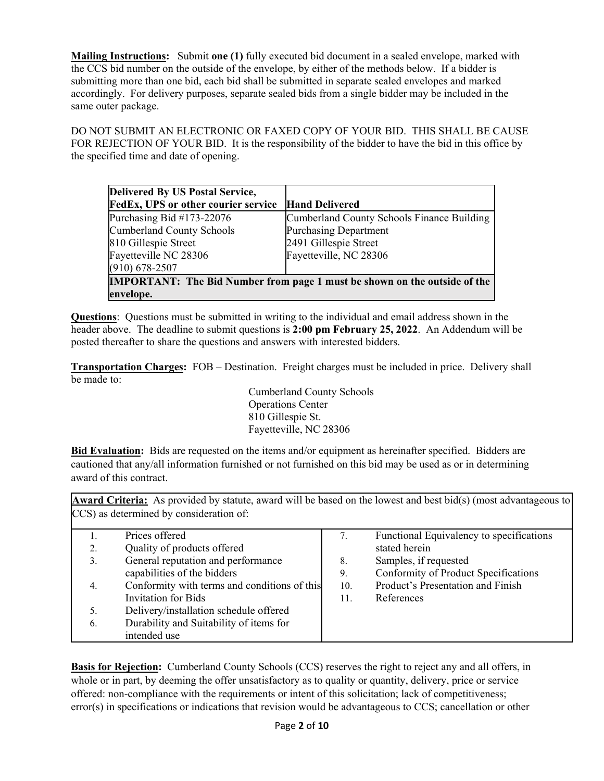**Mailing Instructions:** Submit **one (1)** fully executed bid document in a sealed envelope, marked with the CCS bid number on the outside of the envelope, by either of the methods below. If a bidder is submitting more than one bid, each bid shall be submitted in separate sealed envelopes and marked accordingly. For delivery purposes, separate sealed bids from a single bidder may be included in the same outer package.

DO NOT SUBMIT AN ELECTRONIC OR FAXED COPY OF YOUR BID. THIS SHALL BE CAUSE FOR REJECTION OF YOUR BID. It is the responsibility of the bidder to have the bid in this office by the specified time and date of opening.

| Delivered By US Postal Service,                                                  |                                            |  |
|----------------------------------------------------------------------------------|--------------------------------------------|--|
| <b>FedEx, UPS or other courier service</b>                                       | <b>Hand Delivered</b>                      |  |
| Purchasing Bid $#173-22076$                                                      | Cumberland County Schools Finance Building |  |
| Cumberland County Schools                                                        | <b>Purchasing Department</b>               |  |
| 810 Gillespie Street                                                             | 2491 Gillespie Street                      |  |
| Fayetteville NC 28306                                                            | Fayetteville, NC 28306                     |  |
| $(910) 678 - 2507$                                                               |                                            |  |
| <b>IMPORTANT:</b> The Bid Number from page 1 must be shown on the outside of the |                                            |  |
| envelope.                                                                        |                                            |  |

**Questions**: Questions must be submitted in writing to the individual and email address shown in the header above. The deadline to submit questions is **2:00 pm February 25, 2022**. An Addendum will be posted thereafter to share the questions and answers with interested bidders.

**Transportation Charges:** FOB – Destination. Freight charges must be included in price. Delivery shall be made to:

> Cumberland County Schools Operations Center 810 Gillespie St. Fayetteville, NC 28306

**Bid Evaluation:** Bids are requested on the items and/or equipment as hereinafter specified. Bidders are cautioned that any/all information furnished or not furnished on this bid may be used as or in determining award of this contract.

**Award Criteria:** As provided by statute, award will be based on the lowest and best bid(s) (most advantageous to CCS) as determined by consideration of:

|    | Prices offered                               | 7.  | Functional Equivalency to specifications |
|----|----------------------------------------------|-----|------------------------------------------|
| 2. | Quality of products offered                  |     | stated herein                            |
| 3. | General reputation and performance           | 8.  | Samples, if requested                    |
|    | capabilities of the bidders                  | 9.  | Conformity of Product Specifications     |
| 4. | Conformity with terms and conditions of this | 10. | Product's Presentation and Finish        |
|    | Invitation for Bids                          | 11. | References                               |
|    | Delivery/installation schedule offered       |     |                                          |
| 6. | Durability and Suitability of items for      |     |                                          |
|    | intended use                                 |     |                                          |

**Basis for Rejection:** Cumberland County Schools (CCS) reserves the right to reject any and all offers, in whole or in part, by deeming the offer unsatisfactory as to quality or quantity, delivery, price or service offered: non-compliance with the requirements or intent of this solicitation; lack of competitiveness; error(s) in specifications or indications that revision would be advantageous to CCS; cancellation or other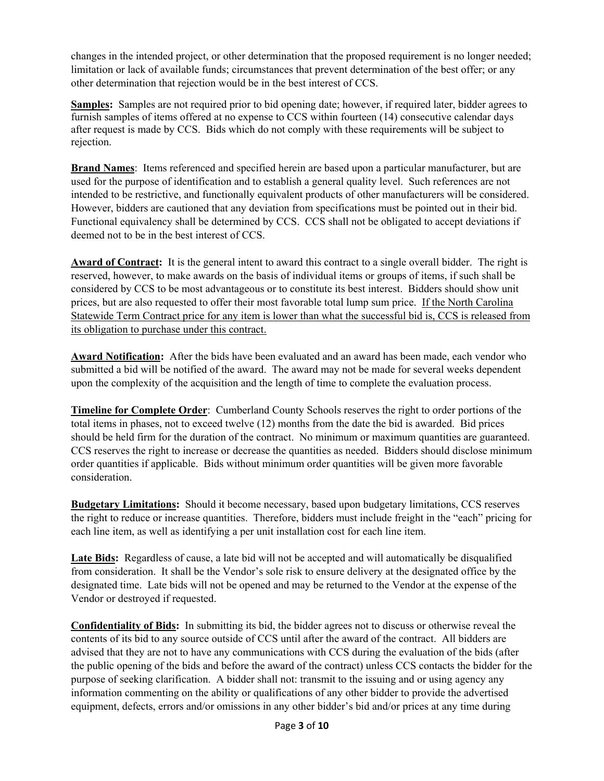changes in the intended project, or other determination that the proposed requirement is no longer needed; limitation or lack of available funds; circumstances that prevent determination of the best offer; or any other determination that rejection would be in the best interest of CCS.

**Samples:** Samples are not required prior to bid opening date; however, if required later, bidder agrees to furnish samples of items offered at no expense to CCS within fourteen (14) consecutive calendar days after request is made by CCS. Bids which do not comply with these requirements will be subject to rejection.

**Brand Names**: Items referenced and specified herein are based upon a particular manufacturer, but are used for the purpose of identification and to establish a general quality level. Such references are not intended to be restrictive, and functionally equivalent products of other manufacturers will be considered. However, bidders are cautioned that any deviation from specifications must be pointed out in their bid. Functional equivalency shall be determined by CCS. CCS shall not be obligated to accept deviations if deemed not to be in the best interest of CCS.

**Award of Contract:** It is the general intent to award this contract to a single overall bidder. The right is reserved, however, to make awards on the basis of individual items or groups of items, if such shall be considered by CCS to be most advantageous or to constitute its best interest. Bidders should show unit prices, but are also requested to offer their most favorable total lump sum price. If the North Carolina Statewide Term Contract price for any item is lower than what the successful bid is, CCS is released from its obligation to purchase under this contract.

**Award Notification:** After the bids have been evaluated and an award has been made, each vendor who submitted a bid will be notified of the award. The award may not be made for several weeks dependent upon the complexity of the acquisition and the length of time to complete the evaluation process.

**Timeline for Complete Order**: Cumberland County Schools reserves the right to order portions of the total items in phases, not to exceed twelve (12) months from the date the bid is awarded. Bid prices should be held firm for the duration of the contract. No minimum or maximum quantities are guaranteed. CCS reserves the right to increase or decrease the quantities as needed. Bidders should disclose minimum order quantities if applicable. Bids without minimum order quantities will be given more favorable consideration.

**Budgetary Limitations:** Should it become necessary, based upon budgetary limitations, CCS reserves the right to reduce or increase quantities. Therefore, bidders must include freight in the "each" pricing for each line item, as well as identifying a per unit installation cost for each line item.

**Late Bids:** Regardless of cause, a late bid will not be accepted and will automatically be disqualified from consideration. It shall be the Vendor's sole risk to ensure delivery at the designated office by the designated time. Late bids will not be opened and may be returned to the Vendor at the expense of the Vendor or destroyed if requested.

**Confidentiality of Bids:** In submitting its bid, the bidder agrees not to discuss or otherwise reveal the contents of its bid to any source outside of CCS until after the award of the contract. All bidders are advised that they are not to have any communications with CCS during the evaluation of the bids (after the public opening of the bids and before the award of the contract) unless CCS contacts the bidder for the purpose of seeking clarification. A bidder shall not: transmit to the issuing and or using agency any information commenting on the ability or qualifications of any other bidder to provide the advertised equipment, defects, errors and/or omissions in any other bidder's bid and/or prices at any time during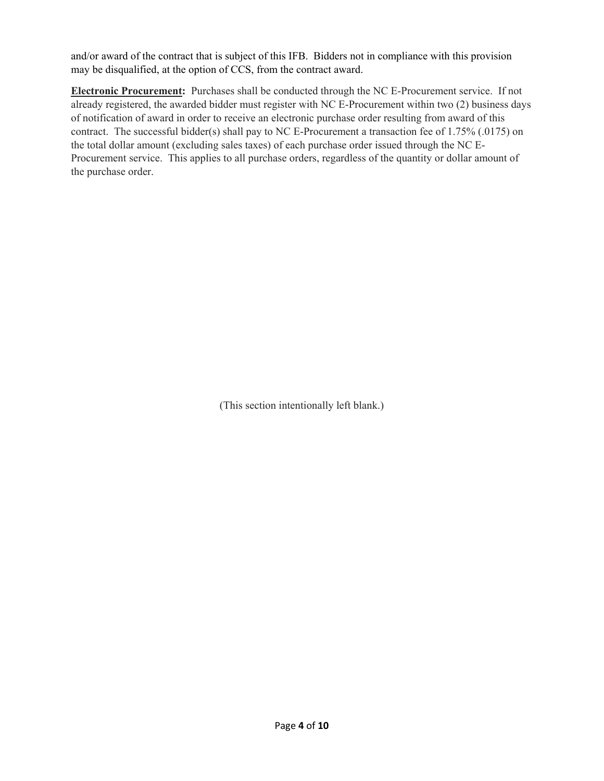and/or award of the contract that is subject of this IFB. Bidders not in compliance with this provision may be disqualified, at the option of CCS, from the contract award.

**Electronic Procurement:** Purchases shall be conducted through the NC E-Procurement service. If not already registered, the awarded bidder must register with NC E-Procurement within two (2) business days of notification of award in order to receive an electronic purchase order resulting from award of this contract. The successful bidder(s) shall pay to NC E-Procurement a transaction fee of 1.75% (.0175) on the total dollar amount (excluding sales taxes) of each purchase order issued through the NC E-Procurement service. This applies to all purchase orders, regardless of the quantity or dollar amount of the purchase order.

(This section intentionally left blank.)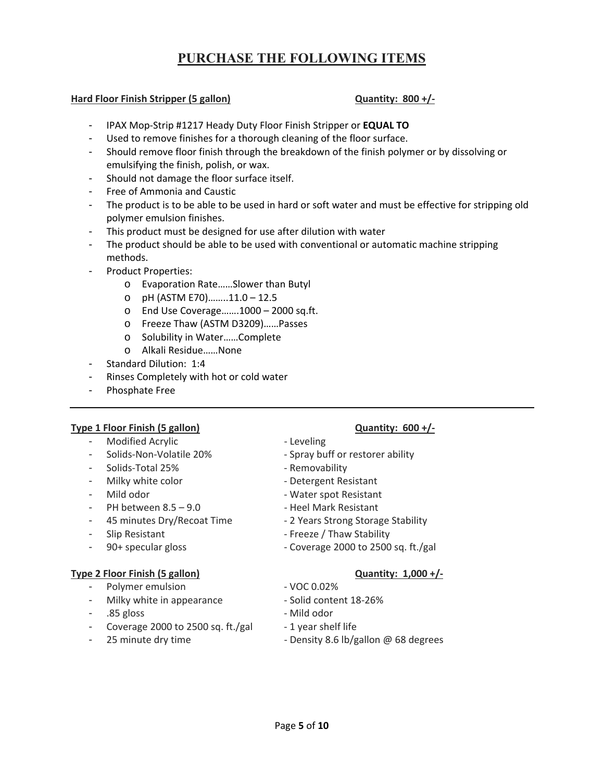## **PURCHASE THE FOLLOWING ITEMS**

#### **Hard Floor Finish Stripper (5 gallon) Quantity: 800 +/‐**

- IPAX Mop‐Strip #1217 Heady Duty Floor Finish Stripper or **EQUAL TO**
- Used to remove finishes for a thorough cleaning of the floor surface.
- Should remove floor finish through the breakdown of the finish polymer or by dissolving or emulsifying the finish, polish, or wax.
- Should not damage the floor surface itself.
- Free of Ammonia and Caustic
- The product is to be able to be used in hard or soft water and must be effective for stripping old polymer emulsion finishes.
- This product must be designed for use after dilution with water
- The product should be able to be used with conventional or automatic machine stripping methods.
- Product Properties:
	- o Evaporation Rate……Slower than Butyl
	- o pH (ASTM E70)……..11.0 12.5
	- o End Use Coverage…….1000 2000 sq.ft.
	- o Freeze Thaw (ASTM D3209)……Passes
	- o Solubility in Water……Complete
	- o Alkali Residue……None
- Standard Dilution: 1:4
- Rinses Completely with hot or cold water
- Phosphate Free

#### **Type 1 Floor Finish (5 gallon) Quantity: 600 +/‐**

- Modified Acrylic ‐ Leveling
- 
- Solids‐Total 25% ‐ Removability
- Milky white color ‐ Detergent Resistant
- 
- PH between 8.5 9.0 ‐ Heel Mark Resistant
- 45 minutes Dry/Recoat Time ‐ 2 Years Strong Storage Stability
- 
- 

#### **Type 2 Floor Finish (5 gallon) Quantity: 1,000 +/‐**

- Polymer emulsion ‐ VOC 0.02%
- Milky white in appearance ‐ Solid content 18‐26%
- .85 gloss ‐ Mild odor
- Coverage 2000 to 2500 sq. ft./gal 1 year shelf life
- 
- 
- 
- Solids‐Non‐Volatile 20% ‐ Spray buff or restorer ability
	-
	-
- Mild odor ‐ Water spot Resistant
	-
	-
- Slip Resistant ‐ Freeze / Thaw Stability
	- 90+ specular gloss ‐ Coverage 2000 to 2500 sq. ft./gal

- 
- 
- 
- 
- 25 minute dry time ‐ Density 8.6 lb/gallon @ 68 degrees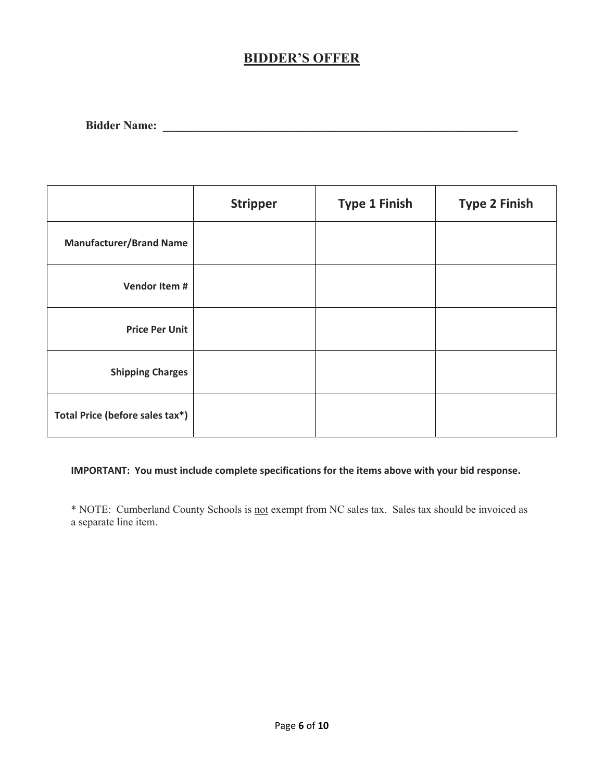# **BIDDER'S OFFER**

| <b>Bidder Name:</b> |
|---------------------|
|---------------------|

|                                 | <b>Stripper</b> | <b>Type 1 Finish</b> | <b>Type 2 Finish</b> |
|---------------------------------|-----------------|----------------------|----------------------|
| <b>Manufacturer/Brand Name</b>  |                 |                      |                      |
| Vendor Item #                   |                 |                      |                      |
| <b>Price Per Unit</b>           |                 |                      |                      |
| <b>Shipping Charges</b>         |                 |                      |                      |
| Total Price (before sales tax*) |                 |                      |                      |

## **IMPORTANT: You must include complete specifications for the items above with your bid response.**

\* NOTE: Cumberland County Schools is not exempt from NC sales tax. Sales tax should be invoiced as a separate line item.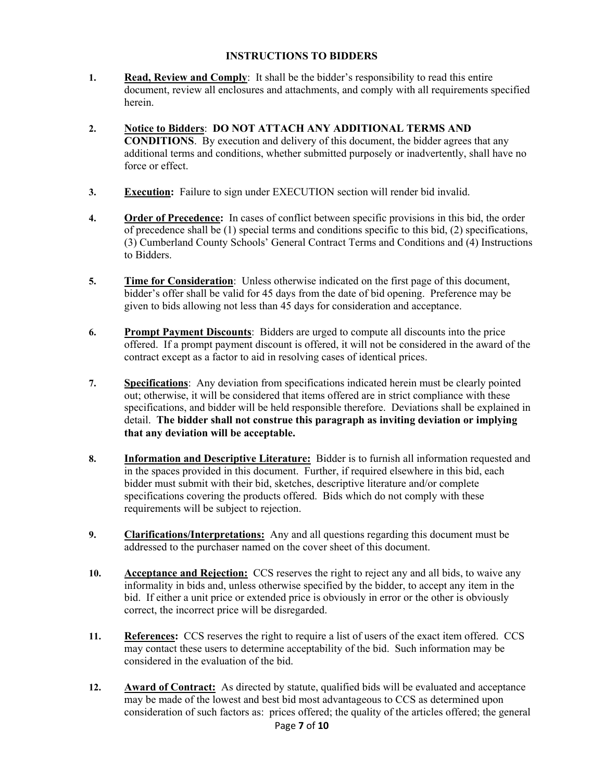#### **INSTRUCTIONS TO BIDDERS**

- **1. Read, Review and Comply**: It shall be the bidder's responsibility to read this entire document, review all enclosures and attachments, and comply with all requirements specified herein.
- **2. Notice to Bidders**: **DO NOT ATTACH ANY ADDITIONAL TERMS AND CONDITIONS**. By execution and delivery of this document, the bidder agrees that any additional terms and conditions, whether submitted purposely or inadvertently, shall have no force or effect.
- **3. Execution:** Failure to sign under EXECUTION section will render bid invalid.
- **4. Order of Precedence:** In cases of conflict between specific provisions in this bid, the order of precedence shall be (1) special terms and conditions specific to this bid, (2) specifications, (3) Cumberland County Schools' General Contract Terms and Conditions and (4) Instructions to Bidders.
- **5. Time for Consideration**: Unless otherwise indicated on the first page of this document, bidder's offer shall be valid for 45 days from the date of bid opening. Preference may be given to bids allowing not less than 45 days for consideration and acceptance.
- **6. Prompt Payment Discounts**: Bidders are urged to compute all discounts into the price offered. If a prompt payment discount is offered, it will not be considered in the award of the contract except as a factor to aid in resolving cases of identical prices.
- **7. Specifications**: Any deviation from specifications indicated herein must be clearly pointed out; otherwise, it will be considered that items offered are in strict compliance with these specifications, and bidder will be held responsible therefore. Deviations shall be explained in detail. **The bidder shall not construe this paragraph as inviting deviation or implying that any deviation will be acceptable.**
- **8. Information and Descriptive Literature:** Bidder is to furnish all information requested and in the spaces provided in this document. Further, if required elsewhere in this bid, each bidder must submit with their bid, sketches, descriptive literature and/or complete specifications covering the products offered. Bids which do not comply with these requirements will be subject to rejection.
- **9. Clarifications/Interpretations:** Any and all questions regarding this document must be addressed to the purchaser named on the cover sheet of this document.
- **10. Acceptance and Rejection:** CCS reserves the right to reject any and all bids, to waive any informality in bids and, unless otherwise specified by the bidder, to accept any item in the bid. If either a unit price or extended price is obviously in error or the other is obviously correct, the incorrect price will be disregarded.
- **11. References:** CCS reserves the right to require a list of users of the exact item offered. CCS may contact these users to determine acceptability of the bid. Such information may be considered in the evaluation of the bid.
- Page **7** of **10 12. Award of Contract:** As directed by statute, qualified bids will be evaluated and acceptance may be made of the lowest and best bid most advantageous to CCS as determined upon consideration of such factors as: prices offered; the quality of the articles offered; the general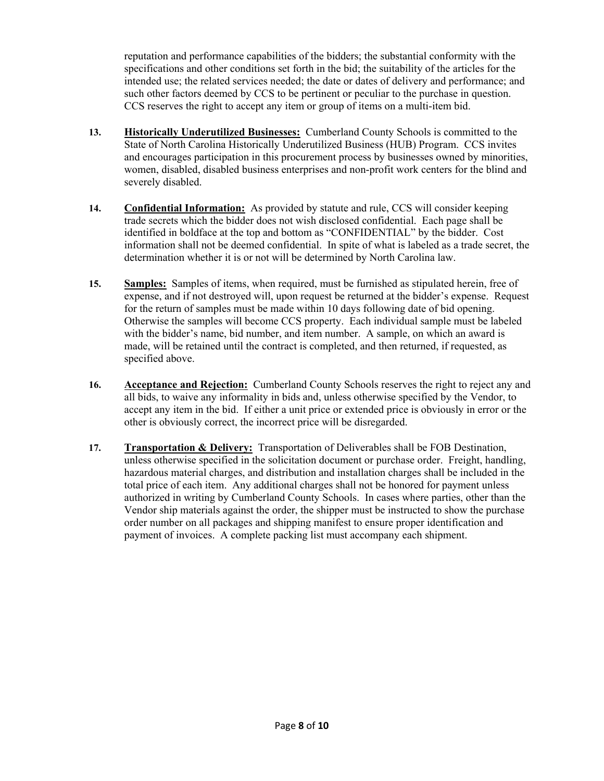reputation and performance capabilities of the bidders; the substantial conformity with the specifications and other conditions set forth in the bid; the suitability of the articles for the intended use; the related services needed; the date or dates of delivery and performance; and such other factors deemed by CCS to be pertinent or peculiar to the purchase in question. CCS reserves the right to accept any item or group of items on a multi-item bid.

- **13. Historically Underutilized Businesses:** Cumberland County Schools is committed to the State of North Carolina Historically Underutilized Business (HUB) Program. CCS invites and encourages participation in this procurement process by businesses owned by minorities, women, disabled, disabled business enterprises and non-profit work centers for the blind and severely disabled.
- **14. Confidential Information:** As provided by statute and rule, CCS will consider keeping trade secrets which the bidder does not wish disclosed confidential. Each page shall be identified in boldface at the top and bottom as "CONFIDENTIAL" by the bidder. Cost information shall not be deemed confidential. In spite of what is labeled as a trade secret, the determination whether it is or not will be determined by North Carolina law.
- **15. Samples:** Samples of items, when required, must be furnished as stipulated herein, free of expense, and if not destroyed will, upon request be returned at the bidder's expense. Request for the return of samples must be made within 10 days following date of bid opening. Otherwise the samples will become CCS property. Each individual sample must be labeled with the bidder's name, bid number, and item number. A sample, on which an award is made, will be retained until the contract is completed, and then returned, if requested, as specified above.
- **16. Acceptance and Rejection:** Cumberland County Schools reserves the right to reject any and all bids, to waive any informality in bids and, unless otherwise specified by the Vendor, to accept any item in the bid. If either a unit price or extended price is obviously in error or the other is obviously correct, the incorrect price will be disregarded.
- **17. Transportation & Delivery:** Transportation of Deliverables shall be FOB Destination, unless otherwise specified in the solicitation document or purchase order. Freight, handling, hazardous material charges, and distribution and installation charges shall be included in the total price of each item. Any additional charges shall not be honored for payment unless authorized in writing by Cumberland County Schools. In cases where parties, other than the Vendor ship materials against the order, the shipper must be instructed to show the purchase order number on all packages and shipping manifest to ensure proper identification and payment of invoices. A complete packing list must accompany each shipment.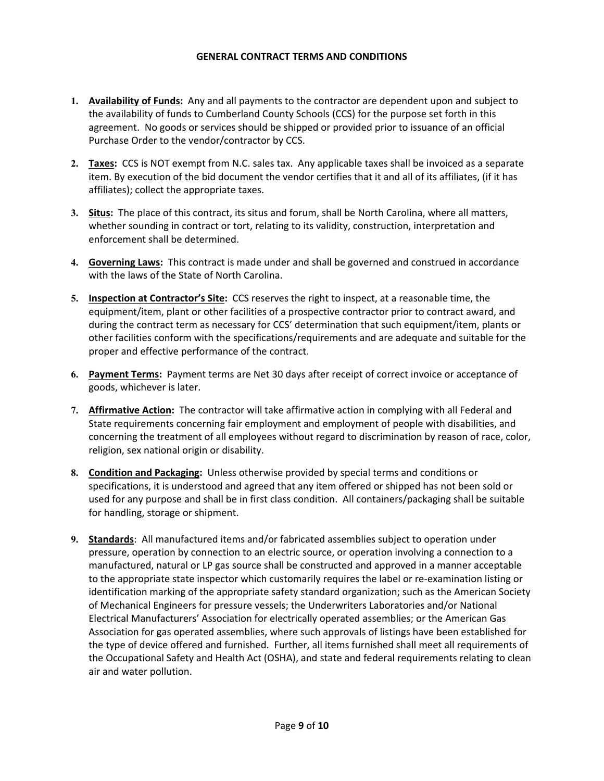#### **GENERAL CONTRACT TERMS AND CONDITIONS**

- **1. Availability of Funds:** Any and all payments to the contractor are dependent upon and subject to the availability of funds to Cumberland County Schools (CCS) for the purpose set forth in this agreement. No goods or services should be shipped or provided prior to issuance of an official Purchase Order to the vendor/contractor by CCS.
- **2. Taxes:** CCS is NOT exempt from N.C. sales tax. Any applicable taxes shall be invoiced as a separate item. By execution of the bid document the vendor certifies that it and all of its affiliates, (if it has affiliates); collect the appropriate taxes.
- **3. Situs:** The place of this contract, its situs and forum, shall be North Carolina, where all matters, whether sounding in contract or tort, relating to its validity, construction, interpretation and enforcement shall be determined.
- **4. Governing Laws:** This contract is made under and shall be governed and construed in accordance with the laws of the State of North Carolina.
- **5. Inspection at Contractor's Site:** CCS reserves the right to inspect, at a reasonable time, the equipment/item, plant or other facilities of a prospective contractor prior to contract award, and during the contract term as necessary for CCS' determination that such equipment/item, plants or other facilities conform with the specifications/requirements and are adequate and suitable for the proper and effective performance of the contract.
- **6. Payment Terms:** Payment terms are Net 30 days after receipt of correct invoice or acceptance of goods, whichever is later.
- **7. Affirmative Action:** The contractor will take affirmative action in complying with all Federal and State requirements concerning fair employment and employment of people with disabilities, and concerning the treatment of all employees without regard to discrimination by reason of race, color, religion, sex national origin or disability.
- **8. Condition and Packaging:** Unless otherwise provided by special terms and conditions or specifications, it is understood and agreed that any item offered or shipped has not been sold or used for any purpose and shall be in first class condition. All containers/packaging shall be suitable for handling, storage or shipment.
- **9. Standards**: All manufactured items and/or fabricated assemblies subject to operation under pressure, operation by connection to an electric source, or operation involving a connection to a manufactured, natural or LP gas source shall be constructed and approved in a manner acceptable to the appropriate state inspector which customarily requires the label or re‐examination listing or identification marking of the appropriate safety standard organization; such as the American Society of Mechanical Engineers for pressure vessels; the Underwriters Laboratories and/or National Electrical Manufacturers' Association for electrically operated assemblies; or the American Gas Association for gas operated assemblies, where such approvals of listings have been established for the type of device offered and furnished. Further, all items furnished shall meet all requirements of the Occupational Safety and Health Act (OSHA), and state and federal requirements relating to clean air and water pollution.